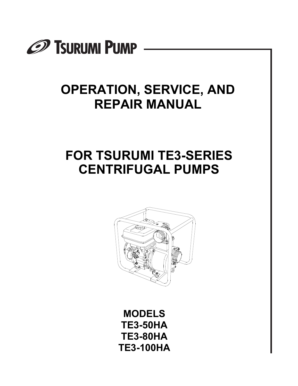

# **OPERATION, SERVICE, AND REPAIR MANUAL**

# **FOR TSURUMI TE3-SERIES CENTRIFUGAL PUMPS**



**MODELS TE3-50HA TE3-80HA TE3-100HA**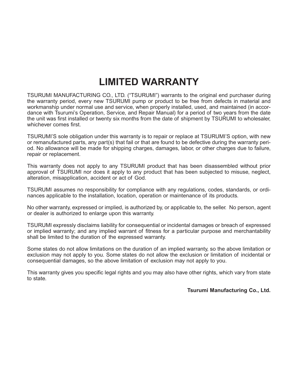## **LIMITED WARRANTY**

TSURUMI MANUFACTURING CO., LTD. ("TSURUMI") warrants to the original end purchaser during the warranty period, every new TSURUMI pump or product to be free from defects in material and workmanship under normal use and service, when properly installed, used, and maintained (in accordance with Tsurumi's Operation, Service, and Repair Manual) for a period of two years from the date the unit was first installed or twenty six months from the date of shipment by TSURUMI to wholesaler, whichever comes first.

TSURUMI'S sole obligation under this warranty is to repair or replace at TSURUMI'S option, with new or remanufactured parts, any part(s) that fail or that are found to be defective during the warranty period. No allowance will be made for shipping charges, damages, labor, or other charges due to failure, repair or replacement.

This warranty does not apply to any TSURUMI product that has been disassembled without prior approval of TSURUMI nor does it apply to any product that has been subjected to misuse, neglect, alteration, misapplication, accident or act of God.

TSURUMI assumes no responsibility for compliance with any regulations, codes, standards, or ordinances applicable to the installation, location, operation or maintenance of its products.

No other warranty, expressed or implied, is authorized by, or applicable to, the seller. No person, agent or dealer is authorized to enlarge upon this warranty.

TSURUMI expressly disclaims liability for consequential or incidental damages or breach of expressed or implied warranty; and any implied warrant of fitness for a particular purpose and merchantability shall be limited to the duration of the expressed warranty.

Some states do not allow limitations on the duration of an implied warranty, so the above limitation or exclusion may not apply to you. Some states do not allow the exclusion or limitation of incidental or consequential damages, so the above limitation of exclusion may not apply to you.

This warranty gives you specific legal rights and you may also have other rights, which vary from state to state.

#### **Tsurumi Manufacturing Co., Ltd.**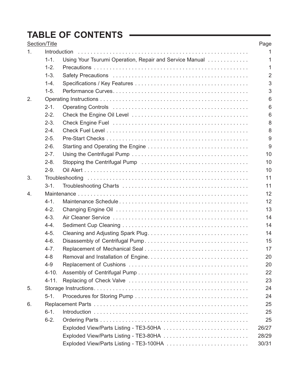## **TABLE OF CONTENTS**

|    | Section/Title |                                                         | Page           |  |  |
|----|---------------|---------------------------------------------------------|----------------|--|--|
| 1. |               | Introduction                                            |                |  |  |
|    | $1 - 1.$      | Using Your Tsurumi Operation, Repair and Service Manual | 1              |  |  |
|    | $1 - 2.$      |                                                         | 1              |  |  |
|    | $1 - 3.$      |                                                         | $\overline{2}$ |  |  |
|    | $1 - 4.$      |                                                         | 3              |  |  |
|    | $1-5.$        |                                                         | 3              |  |  |
| 2. |               |                                                         | 6              |  |  |
|    | $2 - 1$ .     |                                                         | 6              |  |  |
|    | $2 - 2$ .     |                                                         | 6              |  |  |
|    | $2 - 3.$      |                                                         | 8              |  |  |
|    | $2 - 4.$      |                                                         | 8              |  |  |
|    | $2 - 5.$      |                                                         | 9              |  |  |
|    | $2 - 6.$      |                                                         | 9              |  |  |
|    | $2 - 7$ .     |                                                         | 10             |  |  |
|    | $2 - 8.$      |                                                         | 10             |  |  |
|    | $2-9.$        |                                                         | 10             |  |  |
| 3. |               | Troubleshooting                                         | 11             |  |  |
|    | $3-1.$        |                                                         | 11             |  |  |
| 4. |               |                                                         |                |  |  |
|    | $4 - 1$ .     |                                                         | 12             |  |  |
|    | $4 - 2$ .     |                                                         | 13             |  |  |
|    | $4 - 3$ .     |                                                         | 14             |  |  |
|    | $4 - 4$ .     |                                                         | 14             |  |  |
|    | $4-5.$        |                                                         | 14             |  |  |
|    | $4-6.$        |                                                         | 15             |  |  |
|    | $4 - 7$ .     |                                                         | 17             |  |  |
|    | $4 - 8$       |                                                         | 20             |  |  |
|    | $4 - 9$       |                                                         | 20             |  |  |
|    | $4 - 10.$     |                                                         | 22             |  |  |
|    | $4 - 11.$     |                                                         | 23             |  |  |
| 5. |               |                                                         | 24             |  |  |
|    | $5 - 1.$      |                                                         | 24             |  |  |
| 6. |               |                                                         | 25             |  |  |
|    | $6 - 1$ .     |                                                         | 25             |  |  |
|    | $6 - 2.$      |                                                         | 25             |  |  |
|    |               | Exploded View/Parts Listing - TE3-50HA                  | 26/27          |  |  |
|    |               | Exploded View/Parts Listing - TE3-80HA                  | 28/29          |  |  |
|    |               |                                                         | 30/31          |  |  |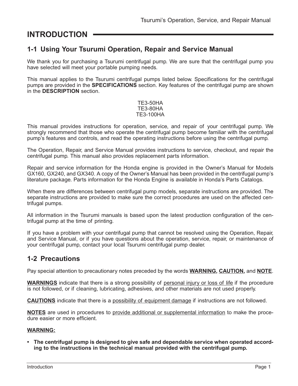### **INTRODUCTION**

### **1-1 Using Your Tsurumi Operation, Repair and Service Manual**

We thank you for purchasing a Tsurumi centrifugal pump. We are sure that the centrifugal pump you have selected will meet your portable pumping needs.

This manual applies to the Tsurumi centrifugal pumps listed below. Specifications for the centrifugal pumps are provided in the **SPECIFICATIONS** section. Key features of the centrifugal pump are shown in the **DESCRIPTION** section.

#### TE3-50HA TE3-80HA TE3-100HA

This manual provides instructions for operation, service, and repair of your centrifugal pump. We strongly recommend that those who operate the centrifugal pump become familiar with the centrifugal pump's features and controls, and read the operating instructions before using the centrifugal pump.

The Operation, Repair, and Service Manual provides instructions to service, checkout, and repair the centrifugal pump. This manual also provides replacement parts information.

Repair and service information for the Honda engine is provided in the Owner's Manual for Models GX160, GX240, and GX340. A copy of the Owner's Manual has been provided in the centrifugal pump's literature package. Parts information for the Honda Engine is available in Honda's Parts Catalogs.

When there are differences between centrifugal pump models, separate instructions are provided. The separate instructions are provided to make sure the correct procedures are used on the affected centrifugal pumps.

All information in the Tsurumi manuals is based upon the latest production configuration of the centrifugal pump at the time of printing.

If you have a problem with your centrifugal pump that cannot be resolved using the Operation, Repair, and Service Manual, or if you have questions about the operation, service, repair, or maintenance of your centrifugal pump, contact your local Tsurumi centrifugal pump dealer.

### **1-2 Precautions**

Pay special attention to precautionary notes preceded by the words **WARNING, CAUTION,** and **NOTE**.

**WARNINGS** indicate that there is a strong possibility of personal injury or loss of life if the procedure is not followed, or if cleaning, lubricating, adhesives, and other materials are not used properly.

**CAUTIONS** indicate that there is a possibility of equipment damage if instructions are not followed.

**NOTES** are used in procedures to provide additional or supplemental information to make the procedure easier or more efficient.

#### **WARNING:**

**• The centrifugal pump is designed to give safe and dependable service when operated according to the instructions in the technical manual provided with the centrifugal pump.**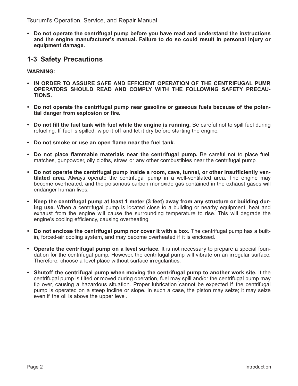Tsurumi's Operation, Service, and Repair Manual

**• Do not operate the centrifugal pump before you have read and understand the instructions and the engine manufacturer's manual. Failure to do so could result in personal injury or equipment damage.**

### **1-3 Safety Precautions**

### **WARNING:**

- **IN ORDER TO ASSURE SAFE AND EFFICIENT OPERATION OF THE CENTRIFUGAL PUMP, OPERATORS SHOULD READ AND COMPLY WITH THE FOLLOWING SAFETY PRECAU-TIONS.**
- **Do not operate the centrifugal pump near gasoline or gaseous fuels because of the potential danger from explosion or fire.**
- **Do not fill the fuel tank with fuel while the engine is running.** Be careful not to spill fuel during refueling. If fuel is spilled, wipe it off and let it dry before starting the engine.
- **Do not smoke or use an open flame near the fuel tank.**
- **Do not place flammable materials near the centrifugal pump.** Be careful not to place fuel, matches, gunpowder, oily cloths, straw, or any other combustibles near the centrifugal pump.
- **Do not operate the centrifugal pump inside a room, cave, tunnel, or other insufficiently ventilated area.** Always operate the centrifugal pump in a well-ventilated area. The engine may become overheated, and the poisonous carbon monoxide gas contained in the exhaust gases will endanger human lives.
- **Keep the centrifugal pump at least 1 meter (3 feet) away from any structure or building during use.** When a centrifugal pump is located close to a building or nearby equipment, heat and exhaust from the engine will cause the surrounding temperature to rise. This will degrade the engine's cooling efficiency, causing overheating.
- **Do not enclose the centrifugal pump nor cover it with a box.** The centrifugal pump has a builtin, forced-air cooling system, and may become overheated if it is enclosed.
- **Operate the centrifugal pump on a level surface.** It is not necessary to prepare a special foundation for the centrifugal pump. However, the centrifugal pump will vibrate on an irregular surface. Therefore, choose a level place without surface irregularities.
- **Shutoff the centrifugal pump when moving the centrifugal pump to another work site.** It the centrifugal pump is tilted or moved during operation, fuel may spill and/or the centrifugal pump may tip over, causing a hazardous situation. Proper lubrication cannot be expected if the centrifugal pump is operated on a steep incline or slope. In such a case, the piston may seize; it may seize even if the oil is above the upper level.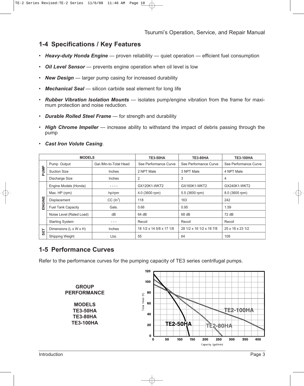### **1-4 Specifications / Key Features**

- **Heavy-duty Honda Engine** proven reliability quiet operation efficient fuel consumption
- *Oil Level Sensor* prevents engine operation when oil level is low
- *New Design* larger pump casing for increased durability
- *Mechanical Seal* silicon carbide seal element for long life
- *Rubber Vibration Isolation Mounts* isolates pump/engine vibration from the frame for maximum protection and noise reduction.
- *Durable Rolled Steel Frame* for strength and durability
- *High Chrome Impeller* increase ability to withstand the impact of debris passing through the pump

|        | <b>MODELS</b>             |                        | <b>TE3-50HA</b>          | <b>TE3-80HA</b>          | <b>TE3-100HA</b>      |
|--------|---------------------------|------------------------|--------------------------|--------------------------|-----------------------|
|        | Pump Output               | Gal./Min-to-Total Head | See Performance Curve    | See Performance Curve    | See Performance Curve |
| PUMP   | <b>Suction Size</b>       | Inches                 | 2 NPT Male               | 3 NPT Male               | 4 NPT Male            |
|        | Discharge Size            | <b>Inches</b>          | 2                        | 3                        | 4                     |
|        | Engine Models (Honda)     |                        | GX120K1-WKT2             | GX160K1-WKT2             | GX240K1-WKT2          |
|        | Max. HP (rpm)             | hp/rpm                 | 4.0 (3600 rpm)           | 5.5 (3600 rpm)           | 8.0 (3600 rpm)        |
| ENGINE | Displacement              | CC (ln <sup>3</sup> )  | 118                      | 163                      | 242                   |
|        | <b>Fuel Tank Capacity</b> | Gals.                  | 0.66                     | 0.95                     | 1.59                  |
|        | Noise Level (Rated Load)  | dB                     | 64 dB                    | 68 dB                    | 72 dB                 |
|        | <b>Starting System</b>    |                        | Recoil                   | Recoil                   | Recoil                |
| SET    | Dimensions (L x W x H)    | Inches                 | 18 1/2 x 14 5/8 x 17 1/8 | 28 1/2 x 16 1/2 x 18 7/8 | 25 x 18 x 23 1/2      |
|        | Shipping Weight           | Lbs.                   | 55                       | 64                       | 109                   |

• *Cast Iron Volute Casing*.

### **1-5 Performance Curves**

Refer to the performance curves for the pumping capacity of TE3 series centrifugal pumps.

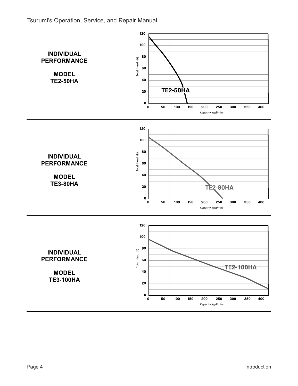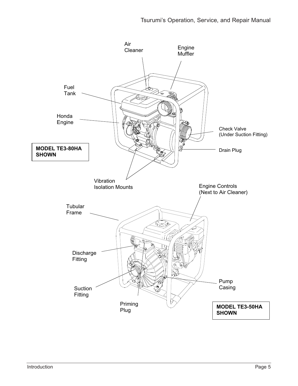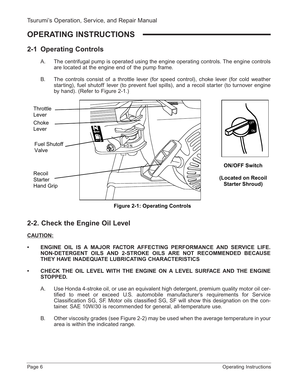## **OPERATING INSTRUCTIONS**

### **2-1 Operating Controls**

- A. The centrifugal pump is operated using the engine operating controls. The engine controls are located at the engine end of the pump frame.
- B. The controls consist of a throttle lever (for speed control), choke lever (for cold weather starting), fuel shutoff lever (to prevent fuel spills), and a recoil starter (to turnover engine by hand). (Refer to Figure 2-1.)





### **2-2. Check the Engine Oil Level**

#### **CAUTION:**

- **ENGINE OIL IS A MAJOR FACTOR AFFECTING PERFORMANCE AND SERVICE LIFE. NON-DETERGENT OILS AND 2-STROKE OILS ARE NOT RECOMMENDED BECAUSE THEY HAVE INADEQUATE LUBRICATING CHARACTERISTICS**
- **CHECK THE OIL LEVEL WITH THE ENGINE ON A LEVEL SURFACE AND THE ENGINE STOPPED.**
	- A. Use Honda 4-stroke oil, or use an equivalent high detergent, premium quality motor oil certified to meet or exceed U.S. automobile manufacturer's requirements for Service Classification SG, SF. Motor oils classified SG, SF will show this designation on the container. SAE 10W/30 is recommended for general, all-temperature use.
	- B. Other viscosity grades (see Figure 2-2) may be used when the average temperature in your area is within the indicated range.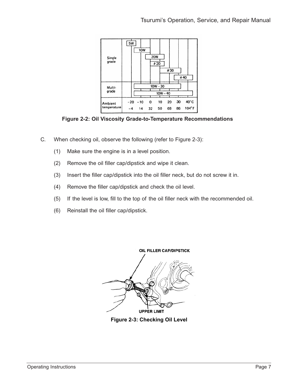

**Figure 2-2: Oil Viscosity Grade-to-Temperature Recommendations Figure 2-2: Oil Viscosity Grade-to-Temperature Recommendations**

- C. When checking oil, observe the following (refer to Figure 2-3):
	- (1) Make sure the engine is in a level position.
	- (2) Remove the oil filler cap/dipstick and wipe it clean.
	- (3) Insert the filler cap/dipstick into the oil filler neck, but do not screw it in.
	- (4) Remove the filler cap/dipstick and check the oil level.
	- (5) If the level is low, fill to the top of the oil filler neck with the recommended oil.
	- (6) Reinstall the oil filler cap/dipstick.



**Figure 2-3: Checking Oil Level**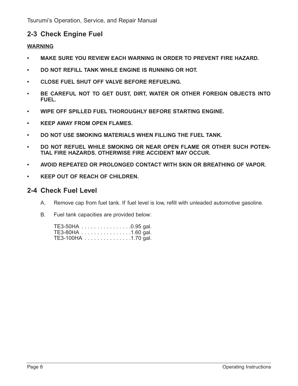### **2-3 Check Engine Fuel**

### **WARNING**

- **MAKE SURE YOU REVIEW EACH WARNING IN ORDER TO PREVENT FIRE HAZARD.**
- **DO NOT REFILL TANK WHILE ENGINE IS RUNNING OR HOT.**
- **CLOSE FUEL SHUT OFF VALVE BEFORE REFUELING.**
- **BE CAREFUL NOT TO GET DUST, DIRT, WATER OR OTHER FOREIGN OBJECTS INTO FUEL.**
- **WIPE OFF SPILLED FUEL THOROUGHLY BEFORE STARTING ENGINE.**
- **KEEP AWAY FROM OPEN FLAMES.**
- **DO NOT USE SMOKING MATERIALS WHEN FILLING THE FUEL TANK.**
- **DO NOT REFUEL WHILE SMOKING OR NEAR OPEN FLAME OR OTHER SUCH POTEN-TIAL FIRE HAZARDS. OTHERWISE FIRE ACCIDENT MAY OCCUR.**
- **AVOID REPEATED OR PROLONGED CONTACT WITH SKIN OR BREATHING OF VAPOR.**
- **KEEP OUT OF REACH OF CHILDREN.**

### **2-4 Check Fuel Level**

- A. Remove cap from fuel tank. If fuel level is low, refill with unleaded automotive gasoline.
- B. Fuel tank capacities are provided below:

| TE3-50HA 0.95 gal.  |  |
|---------------------|--|
| TE3-80HA 1.60 gal.  |  |
| TE3-100HA 1.70 gal. |  |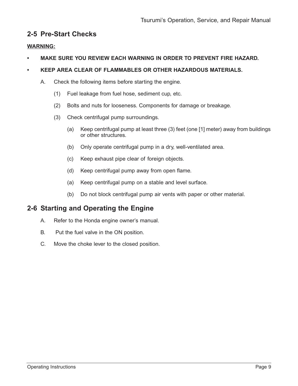### **2-5 Pre-Start Checks**

#### **WARNING:**

**• MAKE SURE YOU REVIEW EACH WARNING IN ORDER TO PREVENT FIRE HAZARD.**

### **• KEEP AREA CLEAR OF FLAMMABLES OR OTHER HAZARDOUS MATERIALS.**

- A. Check the following items before starting the engine.
	- (1) Fuel leakage from fuel hose, sediment cup, etc.
	- (2) Bolts and nuts for looseness. Components for damage or breakage.
	- (3) Check centrifugal pump surroundings.
		- (a) Keep centrifugal pump at least three (3) feet (one [1] meter) away from buildings or other structures.
		- (b) Only operate centrifugal pump in a dry, well-ventilated area.
		- (c) Keep exhaust pipe clear of foreign objects.
		- (d) Keep centrifugal pump away from open flame.
		- (a) Keep centrifugal pump on a stable and level surface.
		- (b) Do not block centrifugal pump air vents with paper or other material.

### **2-6 Starting and Operating the Engine**

- A. Refer to the Honda engine owner's manual.
- B. Put the fuel valve in the ON position.
- C. Move the choke lever to the closed position.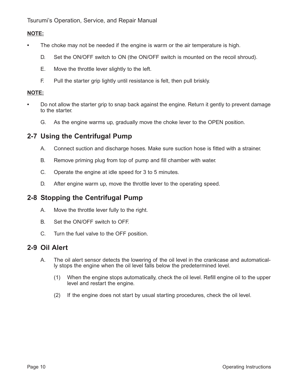Tsurumi's Operation, Service, and Repair Manual

### **NOTE:**

- **•** The choke may not be needed if the engine is warm or the air temperature is high.
	- D. Set the ON/OFF switch to ON (the ON/OFF switch is mounted on the recoil shroud).
	- E. Move the throttle lever slightly to the left.
	- F. Pull the starter grip lightly until resistance is felt, then pull briskly.

### **NOTE:**

- **•** Do not allow the starter grip to snap back against the engine. Return it gently to prevent damage to the starter.
	- G. As the engine warms up, gradually move the choke lever to the OPEN position.

### **2-7 Using the Centrifugal Pump**

- A. Connect suction and discharge hoses. Make sure suction hose is fitted with a strainer.
- B. Remove priming plug from top of pump and fill chamber with water.
- C. Operate the engine at idle speed for 3 to 5 minutes.
- D. After engine warm up, move the throttle lever to the operating speed.

### **2-8 Stopping the Centrifugal Pump**

- A. Move the throttle lever fully to the right.
- B. Set the ON/OFF switch to OFF.
- C. Turn the fuel valve to the OFF position.

### **2-9 Oil Alert**

- A. The oil alert sensor detects the lowering of the oil level in the crankcase and automatically stops the engine when the oil level falls below the predetermined level.
	- (1) When the engine stops automatically, check the oil level. Refill engine oil to the upper level and restart the engine.
	- (2) If the engine does not start by usual starting procedures, check the oil level.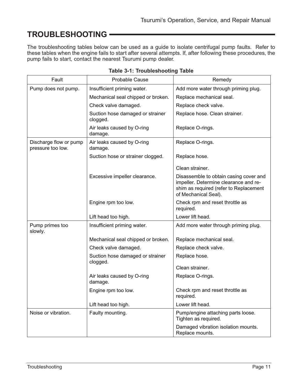## **TROUBLESHOOTING**

The troubleshooting tables below can be used as a guide to isolate centrifugal pump faults. Refer to these tables when the engine fails to start after several attempts. If, after following these procedures, the pump fails to start, contact the nearest Tsurumi pump dealer.

| Fault                                       | <b>Probable Cause</b>                        | Remedy                                                                                                                                            |
|---------------------------------------------|----------------------------------------------|---------------------------------------------------------------------------------------------------------------------------------------------------|
| Pump does not pump.                         | Insufficient priming water.                  | Add more water through priming plug.                                                                                                              |
|                                             | Mechanical seal chipped or broken.           | Replace mechanical seal.                                                                                                                          |
|                                             | Check valve damaged.                         | Replace check valve.                                                                                                                              |
|                                             | Suction hose damaged or strainer<br>clogged. | Replace hose. Clean strainer.                                                                                                                     |
|                                             | Air leaks caused by O-ring<br>damage.        | Replace O-rings.                                                                                                                                  |
| Discharge flow or pump<br>pressure too low. | Air leaks caused by O-ring<br>damage.        | Replace O-rings.                                                                                                                                  |
|                                             | Suction hose or strainer clogged.            | Replace hose.                                                                                                                                     |
|                                             |                                              | Clean strainer.                                                                                                                                   |
|                                             | Excessive impeller clearance.                | Disassemble to obtain casing cover and<br>impeller. Determine clearance and re-<br>shim as required (refer to Replacement<br>of Mechanical Seal). |
|                                             | Engine rpm too low.                          | Check rpm and reset throttle as<br>required.                                                                                                      |
|                                             | Lift head too high.                          | Lower lift head.                                                                                                                                  |
| Pump primes too<br>slowly.                  | Insufficient priming water.                  | Add more water through priming plug.                                                                                                              |
|                                             | Mechanical seal chipped or broken.           | Replace mechanical seal.                                                                                                                          |
|                                             | Check valve damaged.                         | Replace check valve.                                                                                                                              |
|                                             | Suction hose damaged or strainer             | Replace hose.                                                                                                                                     |
|                                             | clogged.                                     | Clean strainer.                                                                                                                                   |
|                                             | Air leaks caused by O-ring<br>damage.        | Replace O-rings.                                                                                                                                  |
|                                             | Engine rpm too low.                          | Check rpm and reset throttle as<br>required.                                                                                                      |
|                                             | Lift head too high.                          | Lower lift head.                                                                                                                                  |
| Noise or vibration.                         | Faulty mounting.                             | Pump/engine attaching parts loose.<br>Tighten as required.                                                                                        |
|                                             |                                              | Damaged vibration isolation mounts.<br>Replace mounts.                                                                                            |

|  |  | <b>Table 3-1: Troubleshooting Table</b> |  |
|--|--|-----------------------------------------|--|
|--|--|-----------------------------------------|--|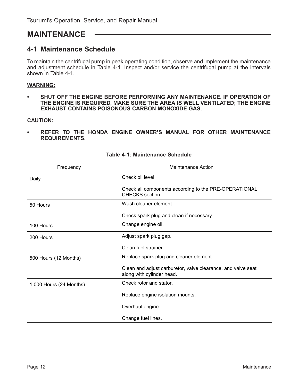### **MAINTENANCE**

### **4-1 Maintenance Schedule**

To maintain the centrifugal pump in peak operating condition, observe and implement the maintenance and adjustment schedule in Table 4-1. Inspect and/or service the centrifugal pump at the intervals shown in Table 4-1.

#### **WARNING:**

**• SHUT OFF THE ENGINE BEFORE PERFORMING ANY MAINTENANCE. IF OPERATION OF THE ENGINE IS REQUIRED, MAKE SURE THE AREA IS WELL VENTILATED; THE ENGINE EXHAUST CONTAINS POISONOUS CARBON MONOXIDE GAS.**

#### **CAUTION:**

**• REFER TO THE HONDA ENGINE OWNER'S MANUAL FOR OTHER MAINTENANCE REQUIREMENTS.**

| Frequency               | <b>Maintenance Action</b>                                                                 |
|-------------------------|-------------------------------------------------------------------------------------------|
| Daily                   | Check oil level.                                                                          |
|                         | Check all components according to the PRE-OPERATIONAL<br>CHECKS section.                  |
| 50 Hours                | Wash cleaner element.                                                                     |
|                         | Check spark plug and clean if necessary.                                                  |
| 100 Hours               | Change engine oil.                                                                        |
| 200 Hours               | Adjust spark plug gap.                                                                    |
|                         | Clean fuel strainer.                                                                      |
| 500 Hours (12 Months)   | Replace spark plug and cleaner element.                                                   |
|                         | Clean and adjust carburetor, valve clearance, and valve seat<br>along with cylinder head. |
| 1,000 Hours (24 Months) | Check rotor and stator.                                                                   |
|                         | Replace engine isolation mounts.                                                          |
|                         | Overhaul engine.                                                                          |
|                         | Change fuel lines.                                                                        |

|  | Table 4-1: Maintenance Schedule |  |
|--|---------------------------------|--|
|--|---------------------------------|--|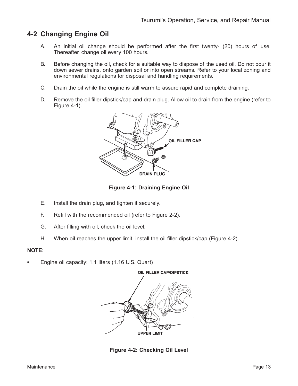### **4-2 Changing Engine Oil**

- A. An initial oil change should be performed after the first twenty- (20) hours of use. Thereafter, change oil every 100 hours.
- B. Before changing the oil, check for a suitable way to dispose of the used oil. Do not pour it down sewer drains, onto garden soil or into open streams. Refer to your local zoning and environmental regulations for disposal and handling requirements.
- C. Drain the oil while the engine is still warm to assure rapid and complete draining.
- D. Remove the oil filler dipstick/cap and drain plug. Allow oil to drain from the engine (refer to Figure 4-1).



**Figure 4-1: Draining Engine Oil**

- E. Install the drain plug, and tighten it securely.
- F. Refill with the recommended oil (refer to Figure 2-2).
- G. After filling with oil, check the oil level.
- H. When oil reaches the upper limit, install the oil filler dipstick/cap (Figure 4-2).

#### **NOTE:**

**•** Engine oil capacity: 1.1 liters (1.16 U.S. Quart)



**Figure 4-2: Checking Oil Level**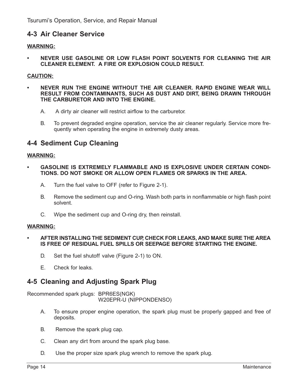### **4-3 Air Cleaner Service**

#### **WARNING:**

**• NEVER USE GASOLINE OR LOW FLASH POINT SOLVENTS FOR CLEANING THE AIR CLEANER ELEMENT. A FIRE OR EXPLOSION COULD RESULT.**

#### **CAUTION:**

- **NEVER RUN THE ENGINE WITHOUT THE AIR CLEANER. RAPID ENGINE WEAR WILL RESULT FROM CONTAMINANTS, SUCH AS DUST AND DIRT, BEING DRAWN THROUGH THE CARBURETOR AND INTO THE ENGINE.**
	- A. A dirty air cleaner will restrict airflow to the carburetor.
	- B. To prevent degraded engine operation, service the air cleaner regularly. Service more frequently when operating the engine in extremely dusty areas.

### **4-4 Sediment Cup Cleaning**

#### **WARNING:**

- **GASOLINE IS EXTREMELY FLAMMABLE AND IS EXPLOSIVE UNDER CERTAIN CONDI-TIONS. DO NOT SMOKE OR ALLOW OPEN FLAMES OR SPARKS IN THE AREA.**
	- A. Turn the fuel valve to OFF (refer to Figure 2-1).
	- B. Remove the sediment cup and O-ring. Wash both parts in nonflammable or high flash point solvent.
	- C. Wipe the sediment cup and O-ring dry, then reinstall.

#### **WARNING:**

- **AFTER INSTALLING THE SEDIMENT CUP, CHECK FOR LEAKS, AND MAKE SURE THE AREA IS FREE OF RESIDUAL FUEL SPILLS OR SEEPAGE BEFORE STARTING THE ENGINE.**
	- D. Set the fuel shutoff valve (Figure 2-1) to ON.
	- E. Check for leaks.

### **4-5 Cleaning and Adjusting Spark Plug**

Recommended spark plugs: BPR6ES(NGK) W20EPR-U (NIPPONDENSO)

- A. To ensure proper engine operation, the spark plug must be properly gapped and free of deposits.
- B. Remove the spark plug cap.
- C. Clean any dirt from around the spark plug base.
- D. Use the proper size spark plug wrench to remove the spark plug.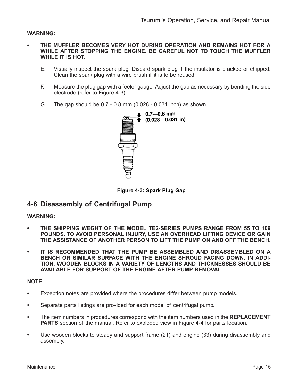#### **WARNING:**

- **THE MUFFLER BECOMES VERY HOT DURING OPERATION AND REMAINS HOT FOR A WHILE AFTER STOPPING THE ENGINE. BE CAREFUL NOT TO TOUCH THE MUFFLER WHILE IT IS HOT.**
	- E. Visually inspect the spark plug. Discard spark plug if the insulator is cracked or chipped. Clean the spark plug with a wire brush if it is to be reused.
	- F. Measure the plug gap with a feeler gauge. Adjust the gap as necessary by bending the side electrode (refer to Figure 4-3).
	- G. The gap should be 0.7 0.8 mm (0.028 0.031 inch) as shown.



**Figure 4-3: Spark Plug Gap**

### **4-6 Disassembly of Centrifugal Pump**

#### **WARNING:**

- **THE SHIPPING WEGHT OF THE MODEL TE2-SERIES PUMPS RANGE FROM 55 TO 109 POUNDS. TO AVOID PERSONAL INJURY, USE AN OVERHEAD LIFTING DEVICE OR GAIN THE ASSISTANCE OF ANOTHER PERSON TO LIFT THE PUMP ON AND OFF THE BENCH.**
- **IT IS RECOMMENDED THAT THE PUMP BE ASSEMBLED AND DISASSEMBLED ON A BENCH OR SIMILAR SURFACE WITH THE ENGINE SHROUD FACING DOWN. IN ADDI-TION, WOODEN BLOCKS IN A VARIETY OF LENGTHS AND THICKNESSES SHOULD BE AVAILABLE FOR SUPPORT OF THE ENGINE AFTER PUMP REMOVAL.**

#### **NOTE:**

- **•** Exception notes are provided where the procedures differ between pump models.
- **•** Separate parts listings are provided for each model of centrifugal pump.
- **•** The item numbers in procedures correspond with the item numbers used in the **REPLACEMENT PARTS** section of the manual. Refer to exploded view in Figure 4-4 for parts location.
- **•** Use wooden blocks to steady and support frame (21) and engine (33) during disassembly and assembly.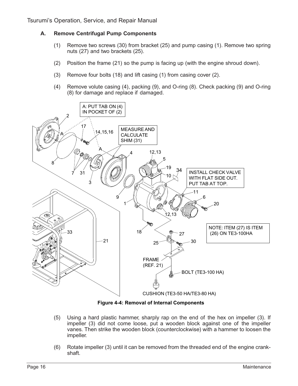#### **A. Remove Centrifugal Pump Components**

- (1) Remove two screws (30) from bracket (25) and pump casing (1). Remove two spring nuts (27) and two brackets (25).
- (2) Position the frame (21) so the pump is facing up (with the engine shroud down).
- (3) Remove four bolts (18) and lift casing (1) from casing cover (2).
- (4) Remove volute casing (4), packing (9), and O-ring (8). Check packing (9) and O-ring (8) for damage and replace if damaged.



**Figure 4-4: Removal of Internal Components**

- (5) Using a hard plastic hammer, sharply rap on the end of the hex on impeller (3). If impeller (3) did not come loose, put a wooden block against one of the impeller vanes. Then strike the wooden block (counterclockwise) with a hammer to loosen the impeller.
- (6) Rotate impeller (3) until it can be removed from the threaded end of the engine crankshaft.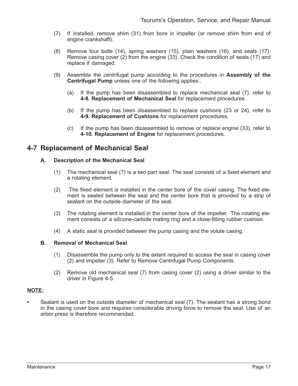- (7) If installed, remove shim (31) from bore in impeller (or remove shim from end of engine crankshaft).
- (8) Remove four bolts (14), spring washers (15), plain washers (16), and seals (17). Remove casing cover (2) from the engine (33). Check the condition of seals (17) and replace if damaged.
- (9) Assemble the centrifugal pump according to the procedures in **Assembly of the Centrifugal Pump** unless one of the following applies:.
	- (a) If the pump has been disassembled to replace mechanical seal (7), refer to **4-8. Replacement of Mechanical Seal** for replacement procedures.
	- (b) If the pump has been disassembled to replace cushions (23 or 24), refer to **4-9. Replacement of Cushions** for replacement procedures.
	- (c) If the pump has been disassembled to remove or replace engine (33), refer to **4-10. Replacement of Engine** for replacement procedures.

### **4-7 Replacement of Mechanical Seal**

#### **A. Description of the Mechanical Seal**

- (1) The mechanical seal (7) is a two part seal. The seal consists of a fixed element and a rotating element.
- (2) The fixed element is installed in the center bore of the cover casing. The fixed element is sealed between the seal and the center bore that is provided by a strip of sealant on the outside diameter of the seal.
- (3) The rotating element is installed in the center bore of the impeller. The rotating element consists of a silicone-carbide mating ring and a close-fitting rubber cushion.
- (4) A static seal is provided between the pump casing and the volute casing.

#### **B. Removal of Mechanical Seal**

- (1) Disassemble the pump only to the extent required to access the seal in casing cover (2) and impeller (3). Refer to Remove Centrifugal Pump Components.
- (2) Remove old mechanical seal (7) from casing cover (2) using a driver similar to the driver in Figure 4-5.

#### **NOTE:**

**•** Sealant is used on the outside diameter of mechanical seal (7). The sealant has a strong bond in the casing cover bore and requires considerable driving force to remove the seal. Use of an arbor press is therefore recommended.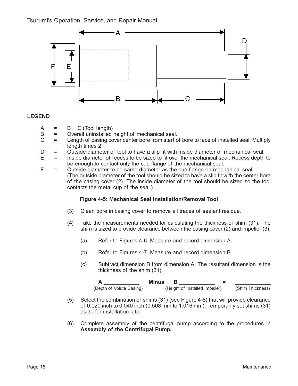

#### **LEGEND**

- $A = B + C$  (Tool length)<br> $B =$  Overall uninstalled
- B = Overall uninstalled height of mechanical seal.<br>C = Length of casing cover center bore from start o
- $=$  Length of casing cover center bore from start of bore to face of installed seal. Multiply length times 2.
- $D =$  Outside diameter of tool to have a slip fit with inside diameter of mechanical seal.<br>E = Inside diameter of recess to be sized to fit over the mechanical seal. Recess depth
- E = Inside diameter of recess to be sized to fit over the mechanical seal. Recess depth to be enough to contact only the cup flange of the mechanical seal.
- $F =$  Outside diameter to be same diameter as the cup flange on mechanical seal. (The outside diameter of the tool should be sized to have a slip fit with the center bore of the casing cover (2). The inside diameter of the tool should be sized so the tool contacts the metal cup of the seal.)

#### **Figure 4-5: Mechanical Seal Installation/Removal Tool**

- (3) Clean bore in casing cover to remove all traces of sealant residue.
- (4) Take the measurements needed for calculating the thickness of shim (31). The shim is sized to provide clearance between the casing cover (2) and impeller (3).
	- (a) Refer to Figures 4-6. Measure and record dimension A.
	- (b) Refer to Figures 4-7. Measure and record dimension B.
	- (c) Subtract dimension B from dimension A. The resultant dimension is the thickness of the shim (31).

|                          | Minus |                                |                  |
|--------------------------|-------|--------------------------------|------------------|
| (Depth of Volute Casing) |       | (Height of Installed Impeller) | (Shim Thickness) |

- (5) Select the combination of shims (31) (see Figure 4-8) that will provide clearance of 0.020 inch to 0.040 inch (0.508 mm to 1.016 mm). Temporarily set shims (31) aside for installation later.
- (6) Complete assembly of the centrifugal pump according to the procedures in **Assembly of the Centrifugal Pump.**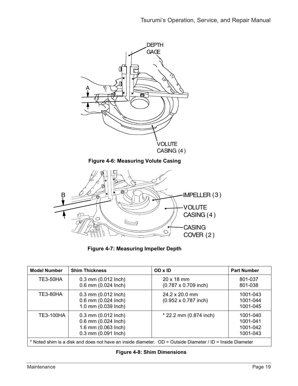

**Figure 4-7: Measuring Impeller Depth**

| <b>Model Number</b>                                                                                       | <b>Shim Thickness</b>                                                                            | OD x ID                                              | <b>Part Number</b>                           |  |  |
|-----------------------------------------------------------------------------------------------------------|--------------------------------------------------------------------------------------------------|------------------------------------------------------|----------------------------------------------|--|--|
| <b>TE3-50HA</b>                                                                                           | $0.3$ mm $(0.012$ lnch)<br>0.6 mm (0.024 lnch)                                                   | $20 \times 18$ mm<br>$(0.787 \times 0.709$ inch)     | 801-037<br>801-038                           |  |  |
| <b>TE3-80HA</b>                                                                                           | $0.3$ mm $(0.012$ lnch)<br>0.6 mm (0.024 lnch)<br>1.0 mm (0.039 lnch)                            | $24.2 \times 20.0$ mm<br>$(0.952 \times 0.787$ inch) | 1001-043<br>1001-044<br>1001-045             |  |  |
| TE3-100HA                                                                                                 | $0.3$ mm $(0.012$ lnch)<br>0.6 mm (0.024 lnch)<br>1.6 mm (0.063 lnch)<br>$0.3$ mm $(0.091$ lnch) | $*$ 22.2 mm (0.874 inch)                             | 1001-040<br>1001-041<br>1001-042<br>1001-043 |  |  |
| * Noted shim is a disk and does not have an inside diameter. OD = Outside Diameter / ID = Inside Diameter |                                                                                                  |                                                      |                                              |  |  |

#### **Figure 4-8: Shim Dimensions**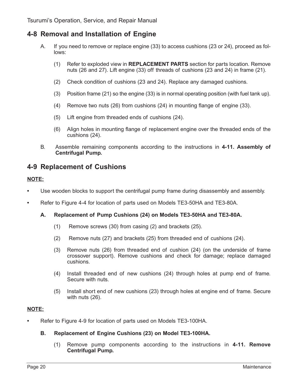### **4-8 Removal and Installation of Engine**

- A. If you need to remove or replace engine (33) to access cushions (23 or 24), proceed as follows:
	- (1) Refer to exploded view in **REPLACEMENT PARTS** section for parts location. Remove nuts (26 and 27). Lift engine (33) off threads of cushions (23 and 24) in frame (21).
	- (2) Check condition of cushions (23 and 24). Replace any damaged cushions.
	- (3) Position frame (21) so the engine (33) is in normal operating position (with fuel tank up).
	- (4) Remove two nuts (26) from cushions (24) in mounting flange of engine (33).
	- (5) Lift engine from threaded ends of cushions (24).
	- (6) Align holes in mounting flange of replacement engine over the threaded ends of the cushions (24).
- B. Assemble remaining components according to the instructions in **4-11. Assembly of Centrifugal Pump.**

### **4-9 Replacement of Cushions**

#### **NOTE:**

- **•** Use wooden blocks to support the centrifugal pump frame during disassembly and assembly.
- **•** Refer to Figure 4-4 for location of parts used on Models TE3-50HA and TE3-80A.

#### **A. Replacement of Pump Cushions (24) on Models TE3-50HA and TE3-80A.**

- (1) Remove screws (30) from casing (2) and brackets (25).
- (2) Remove nuts (27) and brackets (25) from threaded end of cushions (24).
- (3) Remove nuts (26) from threaded end of cushion (24) (on the underside of frame crossover support). Remove cushions and check for damage; replace damaged cushions.
- (4) Install threaded end of new cushions (24) through holes at pump end of frame. Secure with nuts.
- (5) Install short end of new cushions (23) through holes at engine end of frame. Secure with nuts (26).

#### **NOTE:**

**•** Refer to Figure 4-9 for location of parts used on Models TE3-100HA.

#### **B. Replacement of Engine Cushions (23) on Model TE3-100HA.**

(1) Remove pump components according to the instructions in **4-11. Remove Centrifugal Pump.**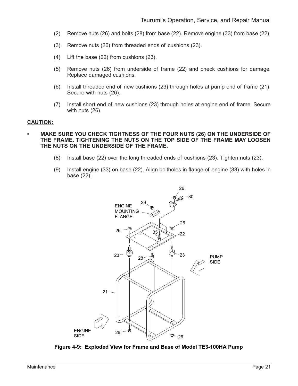- (2) Remove nuts (26) and bolts (28) from base (22). Remove engine (33) from base (22).
- (3) Remove nuts (26) from threaded ends of cushions (23).
- (4) Lift the base (22) from cushions (23).
- (5) Remove nuts (26) from underside of frame (22) and check cushions for damage. Replace damaged cushions.
- (6) Install threaded end of new cushions (23) through holes at pump end of frame (21). Secure with nuts (26).
- (7) Install short end of new cushions (23) through holes at engine end of frame. Secure with nuts (26).

#### **CAUTION:**

- **MAKE SURE YOU CHECK TIGHTNESS OF THE FOUR NUTS (26) ON THE UNDERSIDE OF THE FRAME. TIGHTENING THE NUTS ON THE TOP SIDE OF THE FRAME MAY LOOSEN THE NUTS ON THE UNDERSIDE OF THE FRAME.**
	- (8) Install base (22) over the long threaded ends of cushions (23). Tighten nuts (23).
	- (9) Install engine (33) on base (22). Align boltholes in flange of engine (33) with holes in base (22).



**Figure 4-9: Exploded View for Frame and Base of Model TE3-100HA Pump**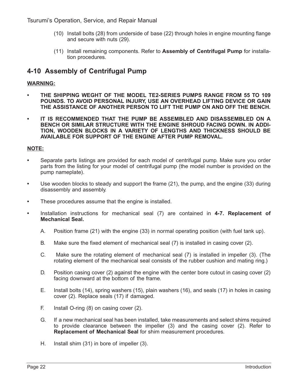Tsurumi's Operation, Service, and Repair Manual

- (10) Install bolts (28) from underside of base (22) through holes in engine mounting flange and secure with nuts (29).
- (11) Install remaining components. Refer to **Assembly of Centrifugal Pump** for installation procedures.

### **4-10 Assembly of Centrifugal Pump**

#### **WARNING:**

- **THE SHIPPING WEGHT OF THE MODEL TE2-SERIES PUMPS RANGE FROM 55 TO 109 POUNDS. TO AVOID PERSONAL INJURY, USE AN OVERHEAD LIFTING DEVICE OR GAIN THE ASSISTANCE OF ANOTHER PERSON TO LIFT THE PUMP ON AND OFF THE BENCH.**
- **IT IS RECOMMENDED THAT THE PUMP BE ASSEMBLED AND DISASSEMBLED ON A BENCH OR SIMILAR STRUCTURE WITH THE ENGINE SHROUD FACING DOWN. IN ADDI-TION, WOODEN BLOCKS IN A VARIETY OF LENGTHS AND THICKNESS SHOULD BE AVAILABLE FOR SUPPORT OF THE ENGINE AFTER PUMP REMOVAL.**

#### **NOTE:**

- **•** Separate parts listings are provided for each model of centrifugal pump. Make sure you order parts from the listing for your model of centrifugal pump (the model number is provided on the pump nameplate).
- **•** Use wooden blocks to steady and support the frame (21), the pump, and the engine (33) during disassembly and assembly.
- **•** These procedures assume that the engine is installed.
- **•** Installation instructions for mechanical seal (7) are contained in **4-7. Replacement of Mechanical Seal.**
	- A. Position frame (21) with the engine (33) in normal operating position (with fuel tank up).
	- B. Make sure the fixed element of mechanical seal (7) is installed in casing cover (2).
	- C. Make sure the rotating element of mechanical seal (7) is installed in impeller (3). (The rotating element of the mechanical seal consists of the rubber cushion and mating ring.)
	- D. Position casing cover (2) against the engine with the center bore cutout in casing cover (2) facing downward at the bottom of the frame.
	- E. Install bolts (14), spring washers (15), plain washers (16), and seals (17) in holes in casing cover (2). Replace seals (17) if damaged.
	- F. Install O-ring (8) on casing cover (2).
	- G. If a new mechanical seal has been installed, take measurements and select shims required to provide clearance between the impeller (3) and the casing cover (2). Refer to **Replacement of Mechanical Seal** for shim measurement procedures.
	- H. Install shim (31) in bore of impeller (3).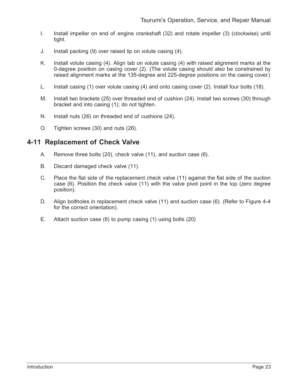- I. Install impeller on end of engine crankshaft (32) and rotate impeller (3) (clockwise) until tight.
- J. Install packing (9) over raised lip on volute casing (4).
- K. Install volute casing (4). Align tab on volute casing (4) with raised alignment marks at the 0-degree position on casing cover (2). (The volute casing should also be constrained by raised alignment marks at the 135-degree and 225-degree positions on the casing cover.)
- L. Install casing (1) over volute casing (4) and onto casing cover (2). Install four bolts (18).
- M. Install two brackets (25) over threaded end of cushion (24). Install two screws (30) through bracket and into casing (1); do not tighten.
- N. Install nuts (26) on threaded end of cushions (24).
- O. Tighten screws (30) and nuts (26).

### **4-11 Replacement of Check Valve**

- A. Remove three bolts (20), check valve (11), and suction case (6).
- B. Discard damaged check valve (11).
- C. Place the flat side of the replacement check valve (11) against the flat side of the suction case (6). Position the check valve (11) with the valve pivot point in the top (zero degree position).
- D. Align boltholes in replacement check valve (11) and suction case (6). (Refer to Figure 4-4 for the correct orientation).
- E. Attach suction case (6) to pump casing (1) using bolts (20)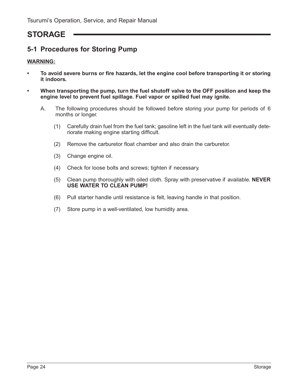## **STORAGE**

### **5-1 Procedures for Storing Pump**

#### **WARNING:**

- **To avoid severe burns or fire hazards, let the engine cool before transporting it or storing it indoors.**
- **When transporting the pump, turn the fuel shutoff valve to the OFF position and keep the engine level to prevent fuel spillage. Fuel vapor or spilled fuel may ignite.**
	- A. The following procedures should be followed before storing your pump for periods of 6 months or longer.
		- (1) Carefully drain fuel from the fuel tank; gasoline left in the fuel tank will eventually deteriorate making engine starting difficult.
		- (2) Remove the carburetor float chamber and also drain the carburetor.
		- (3) Change engine oil.
		- (4) Check for loose bolts and screws; tighten if necessary.
		- (5) Clean pump thoroughly with oiled cloth. Spray with preservative if available. **NEVER USE WATER TO CLEAN PUMP!**
		- (6) Pull starter handle until resistance is felt, leaving handle in that position.
		- (7) Store pump in a well-ventilated, low humidity area.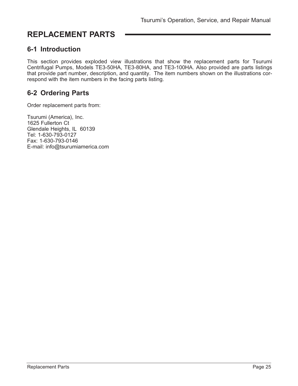## **REPLACEMENT PARTS**

### **6-1 Introduction**

This section provides exploded view illustrations that show the replacement parts for Tsurumi Centrifugal Pumps, Models TE3-50HA, TE3-80HA, and TE3-100HA. Also provided are parts listings that provide part number, description, and quantity. The item numbers shown on the illustrations correspond with the item numbers in the facing parts listing.

### **6-2 Ordering Parts**

Order replacement parts from:

Tsurumi (America), Inc. 1625 Fullerton Ct Glendale Heights, IL 60139 Tel: 1-630-793-0127 Fax: 1-630-793-0146 E-mail: info@tsurumiamerica.com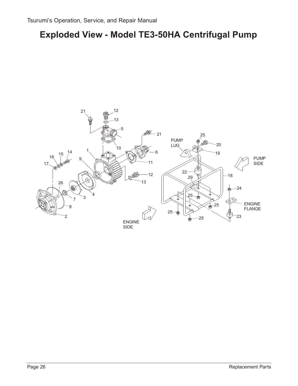## **Exploded View - Model TE3-50HA Centrifugal Pump**

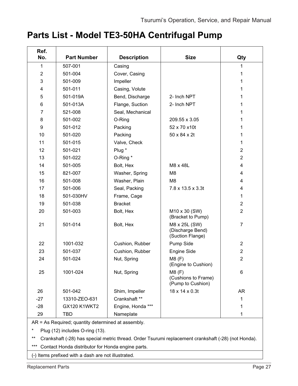## **Parts List - Model TE3-50HA Centrifugal Pump**

| Ref.<br>No.    | <b>Part Number</b> | <b>Description</b> | <b>Size</b>                                           | Qty                     |
|----------------|--------------------|--------------------|-------------------------------------------------------|-------------------------|
|                |                    |                    |                                                       |                         |
| $\mathbf{1}$   | 507-001            | Casing             |                                                       | 1                       |
| $\overline{2}$ | 501-004            | Cover, Casing      |                                                       | 1                       |
| 3              | 501-009            | Impeller           |                                                       | 1                       |
| 4              | 501-011            | Casing, Volute     |                                                       | 1                       |
| 5              | 501-019A           | Bend, Discharge    | 2- Inch NPT                                           | 1                       |
| 6              | 501-013A           | Flange, Suction    | 2- Inch NPT                                           | 1                       |
| $\overline{7}$ | 521-008            | Seal, Mechanical   |                                                       | 1                       |
| 8              | 501-002            | O-Ring             | 209.55 x 3.05                                         | 1                       |
| 9              | 501-012            | Packing            | 52 x 70 x10t                                          | 1                       |
| 10             | 501-020            | Packing            | 50 x 84 x 2t                                          | 1                       |
| 11             | 501-015            | Valve, Check       |                                                       | 1                       |
| 12             | 501-021            | Plug *             |                                                       | $\overline{2}$          |
| 13             | 501-022            | O-Ring *           |                                                       | $\overline{2}$          |
| 14             | 501-005            | Bolt, Hex          | M8 x 48L                                              | $\overline{\mathbf{4}}$ |
| 15             | 821-007            | Washer, Spring     | M <sub>8</sub>                                        | 4                       |
| 16             | 501-008            | Washer, Plain      | M <sub>8</sub>                                        | $\overline{\mathbf{4}}$ |
| 17             | 501-006            | Seal, Packing      | 7.8 x 13.5 x 3.3t                                     | 4                       |
| 18             | 501-030HV          | Frame, Cage        |                                                       | 1                       |
| 19             | 501-038            | <b>Bracket</b>     |                                                       | $\overline{2}$          |
| 20             | 501-003            | Bolt, Hex          | M10 x 30 (SW)<br>(Bracket to Pump)                    | $\overline{2}$          |
| 21             | 501-014            | Bolt, Hex          | M8 x 25L (SW)<br>(Discharge Bend)<br>(Suction Flange) | $\overline{7}$          |
| 22             | 1001-032           | Cushion, Rubber    | Pump Side                                             | $\overline{2}$          |
| 23             | 501-037            | Cushion, Rubber    | Engine Side                                           | $\overline{2}$          |
| 24             | 501-024            | Nut, Spring        | M8(F)<br>(Engine to Cushion)                          | $\overline{2}$          |
| 25             | 1001-024           | Nut, Spring        | M8(F)<br>(Cushions to Frame)<br>(Pump to Cushion)     | $6\phantom{1}$          |
| 26             | 501-042            | Shim, Impeller     | 18 x 14 x 0.3t                                        | <b>AR</b>               |
| $-27$          | 13310-ZEO-631      | Crankshaft **      |                                                       | 1                       |
| $-28$          | GX120 K1WKT2       | Engine, Honda ***  |                                                       | 1                       |
| 29             | TBD                | Nameplate          |                                                       | 1                       |

AR = As Required; quantity determined at assembly.

\* Plug (12) includes O-ring (13).

\*\* Crankshaft (-28) has special metric thread. Order Tsurumi replacement crankshaft (-28) (not Honda).

\*\*\* Contact Honda distributor for Honda engine parts.

(-) Items prefixed with a dash are not illustrated.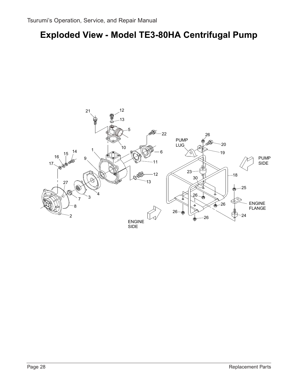## **Exploded View - Model TE3-80HA Centrifugal Pump**

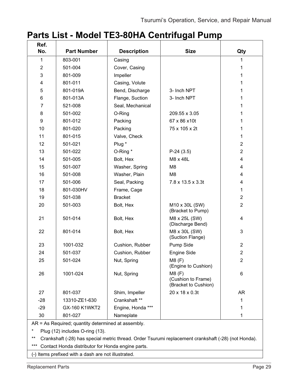## **Parts List - Model TE3-80HA Centrifugal Pump**

| Ref.<br>No.             | <b>Part Number</b> | <b>Description</b> | <b>Size</b>                                         | Qty                     |
|-------------------------|--------------------|--------------------|-----------------------------------------------------|-------------------------|
| 1                       | 803-001            | Casing             |                                                     | 1                       |
| $\overline{2}$          | 501-004            | Cover, Casing      |                                                     | 1                       |
| 3                       | 801-009            | Impeller           |                                                     | 1                       |
| $\overline{\mathbf{4}}$ | 801-011            | Casing, Volute     |                                                     | 1                       |
| 5                       | 801-019A           |                    | 3- Inch NPT                                         | 1                       |
| 6                       | 801-013A           | Bend, Discharge    | 3- Inch NPT                                         | 1                       |
| $\overline{7}$          | 521-008            | Flange, Suction    |                                                     | 1                       |
|                         | 501-002            | Seal, Mechanical   | 209.55 x 3.05                                       | 1                       |
| 8                       |                    | O-Ring             |                                                     |                         |
| $\boldsymbol{9}$        | 801-012            | Packing            | 67 x 86 x 10t                                       | 1                       |
| 10                      | 801-020            | Packing            | 75 x 105 x 2t                                       | 1                       |
| 11                      | 801-015            | Valve, Check       |                                                     | 1                       |
| 12                      | 501-021            | Plug *             |                                                     | $\overline{2}$          |
| 13                      | 501-022            | O-Ring*            | $P-24(3.5)$                                         | $\overline{2}$          |
| 14                      | 501-005            | Bolt, Hex          | M8 x 48L                                            | $\overline{\mathbf{4}}$ |
| 15                      | 501-007            | Washer, Spring     | M <sub>8</sub>                                      | 4                       |
| 16                      | 501-008            | Washer, Plain      | M <sub>8</sub>                                      | 4                       |
| 17                      | 501-006            | Seal, Packing      | 7.8 x 13.5 x 3.3t                                   | 4                       |
| 18                      | 801-030HV          | Frame, Cage        |                                                     | 1                       |
| 19                      | 501-038            | <b>Bracket</b>     |                                                     | $\overline{2}$          |
| 20                      | 501-003            | Bolt, Hex          | M10 x 30L (SW)<br>(Bracket to Pump)                 | $\overline{2}$          |
| 21                      | 501-014            | Bolt, Hex          | M8 x 25L (SW)<br>(Discharge Bend)                   | 4                       |
| 22                      | 801-014            | Bolt, Hex          | M8 x 30L (SW)<br>(Suction Flange)                   | 3                       |
| 23                      | 1001-032           | Cushion, Rubber    | Pump Side                                           | $\overline{2}$          |
| 24                      | 501-037            | Cushion, Rubber    | <b>Engine Side</b>                                  | $\overline{2}$          |
| 25                      | 501-024            | Nut, Spring        | M8(F)<br>(Engine to Cushion)                        | $\overline{2}$          |
| 26                      | 1001-024           | Nut, Spring        | M8(F)<br>(Cushion to Frame)<br>(Bracket to Cushion) | 6                       |
| 27                      | 801-037            | Shim, Impeller     | 20 x 18 x 0.3t                                      | <b>AR</b>               |
| $-28$                   | 13310-ZE1-630      | Crankshaft **      |                                                     | 1                       |
| $-29$                   | GX-160 K1WKT2      | Engine, Honda ***  |                                                     | 1                       |
| 30                      | 801-027            | Nameplate          |                                                     | 1                       |

AR = As Required; quantity determined at assembly.

\* Plug (12) includes O-ring (13).

\*\* Crankshaft (-28) has special metric thread. Order Tsurumi replacement crankshaft (-28) (not Honda).

\*\*\* Contact Honda distributor for Honda engine parts.

(-) Items prefixed with a dash are not illustrated.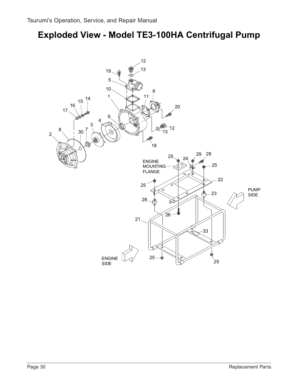## **Exploded View - Model TE3-100HA Centrifugal Pump**